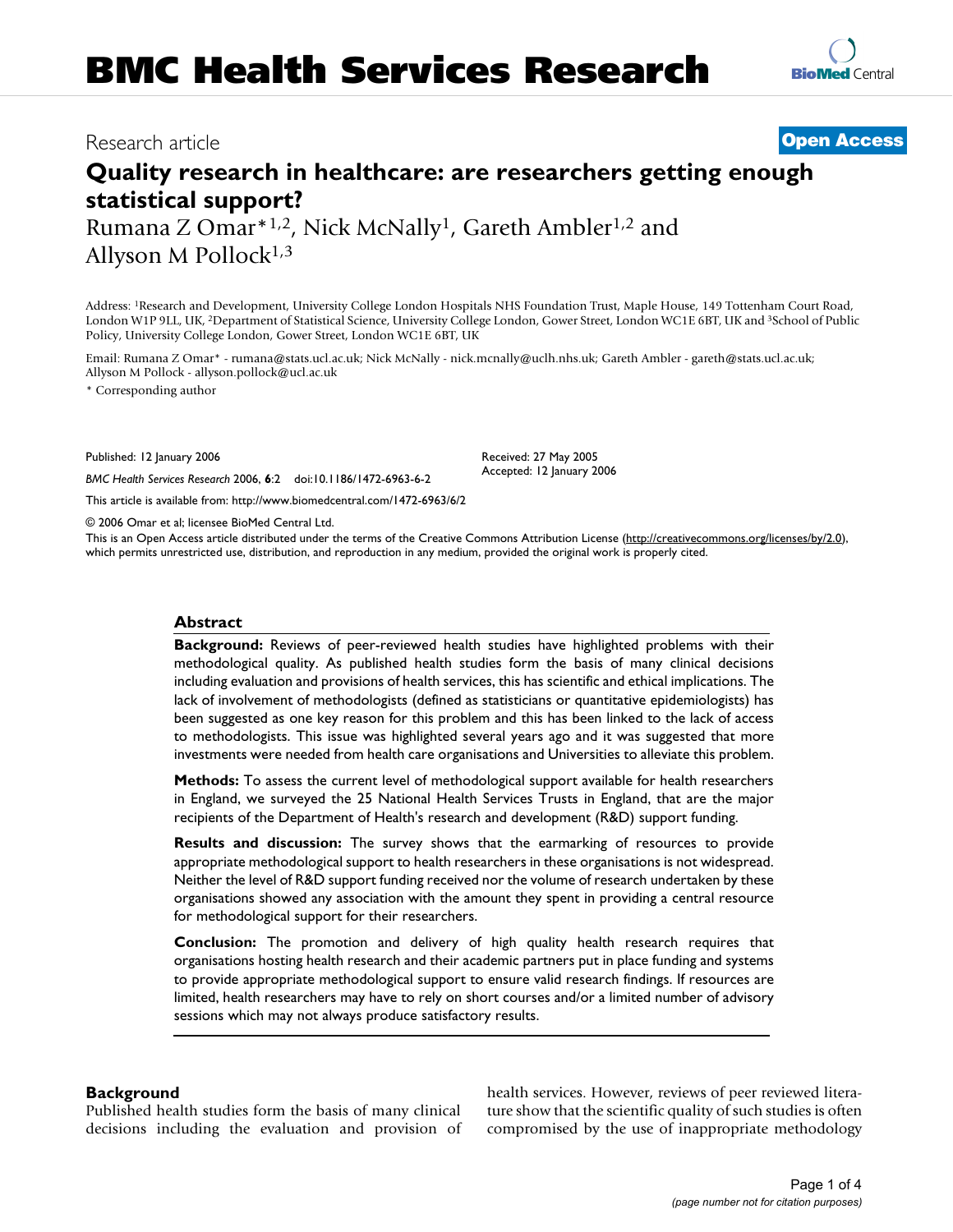# **BMC Health Services Research**



# **Quality research in healthcare: are researchers getting enough statistical support?**

Rumana Z Omar<sup>\*1,2</sup>, Nick McNally<sup>1</sup>, Gareth Ambler<sup>1,2</sup> and Allyson M Pollock<sup>1,3</sup>

Address: 1Research and Development, University College London Hospitals NHS Foundation Trust, Maple House, 149 Tottenham Court Road, London W1P 9LL, UK, 2Department of Statistical Science, University College London, Gower Street, London WC1E 6BT, UK and 3School of Public Policy, University College London, Gower Street, London WC1E 6BT, UK

Email: Rumana Z Omar\* - rumana@stats.ucl.ac.uk; Nick McNally - nick.mcnally@uclh.nhs.uk; Gareth Ambler - gareth@stats.ucl.ac.uk; Allyson M Pollock - allyson.pollock@ucl.ac.uk

\* Corresponding author

Published: 12 January 2006

*BMC Health Services Research* 2006, **6**:2 doi:10.1186/1472-6963-6-2

[This article is available from: http://www.biomedcentral.com/1472-6963/6/2](http://www.biomedcentral.com/1472-6963/6/2)

© 2006 Omar et al; licensee BioMed Central Ltd.

This is an Open Access article distributed under the terms of the Creative Commons Attribution License [\(http://creativecommons.org/licenses/by/2.0\)](http://creativecommons.org/licenses/by/2.0), which permits unrestricted use, distribution, and reproduction in any medium, provided the original work is properly cited.

Received: 27 May 2005 Accepted: 12 January 2006

#### **Abstract**

**Background:** Reviews of peer-reviewed health studies have highlighted problems with their methodological quality. As published health studies form the basis of many clinical decisions including evaluation and provisions of health services, this has scientific and ethical implications. The lack of involvement of methodologists (defined as statisticians or quantitative epidemiologists) has been suggested as one key reason for this problem and this has been linked to the lack of access to methodologists. This issue was highlighted several years ago and it was suggested that more investments were needed from health care organisations and Universities to alleviate this problem.

**Methods:** To assess the current level of methodological support available for health researchers in England, we surveyed the 25 National Health Services Trusts in England, that are the major recipients of the Department of Health's research and development (R&D) support funding.

**Results and discussion:** The survey shows that the earmarking of resources to provide appropriate methodological support to health researchers in these organisations is not widespread. Neither the level of R&D support funding received nor the volume of research undertaken by these organisations showed any association with the amount they spent in providing a central resource for methodological support for their researchers.

**Conclusion:** The promotion and delivery of high quality health research requires that organisations hosting health research and their academic partners put in place funding and systems to provide appropriate methodological support to ensure valid research findings. If resources are limited, health researchers may have to rely on short courses and/or a limited number of advisory sessions which may not always produce satisfactory results.

# **Background**

Published health studies form the basis of many clinical decisions including the evaluation and provision of health services. However, reviews of peer reviewed literature show that the scientific quality of such studies is often compromised by the use of inappropriate methodology

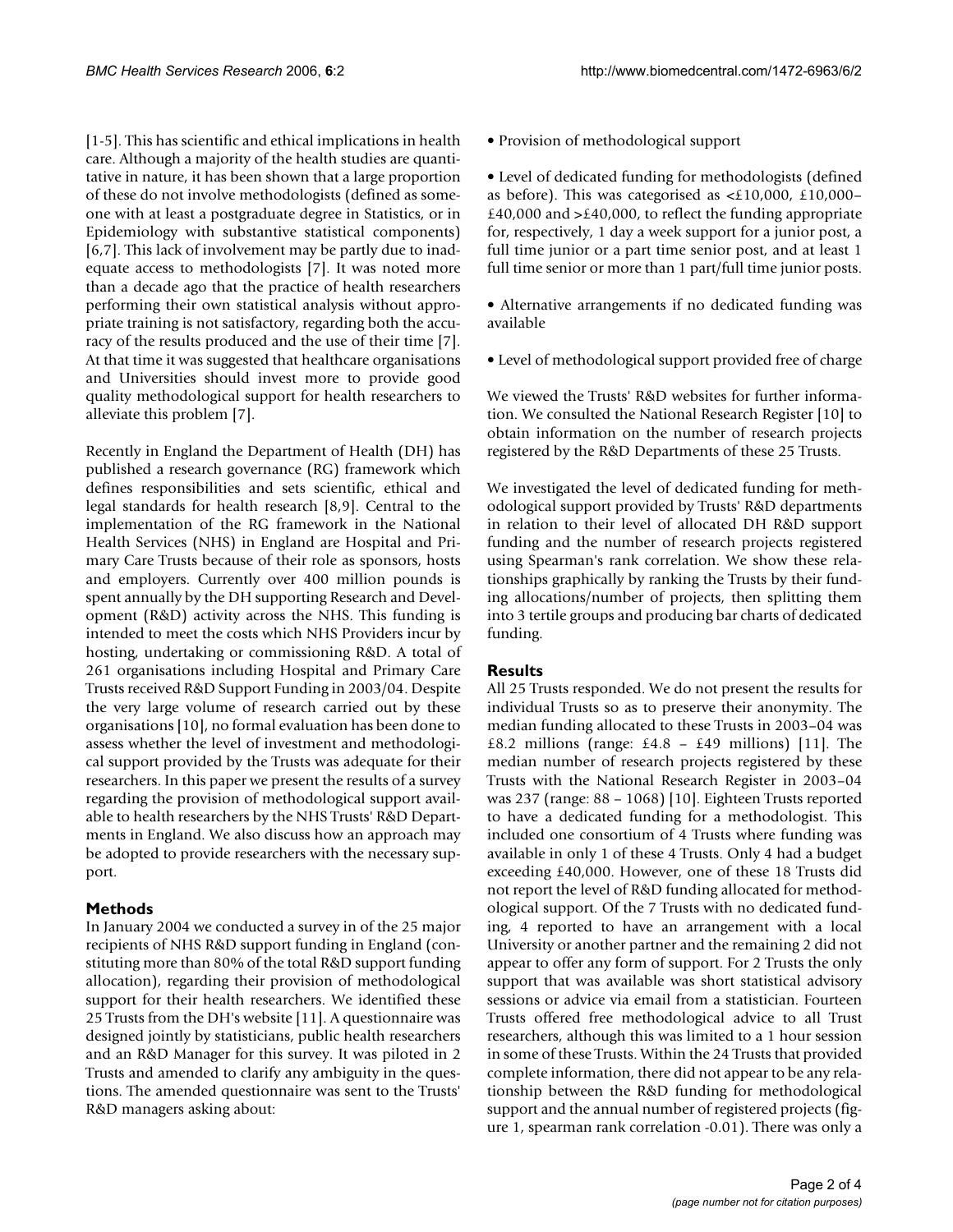[1-5]. This has scientific and ethical implications in health care. Although a majority of the health studies are quantitative in nature, it has been shown that a large proportion of these do not involve methodologists (defined as someone with at least a postgraduate degree in Statistics, or in Epidemiology with substantive statistical components) [6,7]. This lack of involvement may be partly due to inadequate access to methodologists [7]. It was noted more than a decade ago that the practice of health researchers performing their own statistical analysis without appropriate training is not satisfactory, regarding both the accuracy of the results produced and the use of their time [7]. At that time it was suggested that healthcare organisations and Universities should invest more to provide good quality methodological support for health researchers to alleviate this problem [7].

Recently in England the Department of Health (DH) has published a research governance (RG) framework which defines responsibilities and sets scientific, ethical and legal standards for health research [8,9]. Central to the implementation of the RG framework in the National Health Services (NHS) in England are Hospital and Primary Care Trusts because of their role as sponsors, hosts and employers. Currently over 400 million pounds is spent annually by the DH supporting Research and Development (R&D) activity across the NHS. This funding is intended to meet the costs which NHS Providers incur by hosting, undertaking or commissioning R&D. A total of 261 organisations including Hospital and Primary Care Trusts received R&D Support Funding in 2003/04. Despite the very large volume of research carried out by these organisations [10], no formal evaluation has been done to assess whether the level of investment and methodological support provided by the Trusts was adequate for their researchers. In this paper we present the results of a survey regarding the provision of methodological support available to health researchers by the NHS Trusts' R&D Departments in England. We also discuss how an approach may be adopted to provide researchers with the necessary support.

# **Methods**

In January 2004 we conducted a survey in of the 25 major recipients of NHS R&D support funding in England (constituting more than 80% of the total R&D support funding allocation), regarding their provision of methodological support for their health researchers. We identified these 25 Trusts from the DH's website [11]. A questionnaire was designed jointly by statisticians, public health researchers and an R&D Manager for this survey. It was piloted in 2 Trusts and amended to clarify any ambiguity in the questions. The amended questionnaire was sent to the Trusts' R&D managers asking about:

• Provision of methodological support

• Level of dedicated funding for methodologists (defined as before). This was categorised as  $< \pounds 10,000$ , £10,000– £40,000 and >£40,000, to reflect the funding appropriate for, respectively, 1 day a week support for a junior post, a full time junior or a part time senior post, and at least 1 full time senior or more than 1 part/full time junior posts.

- Alternative arrangements if no dedicated funding was available
- Level of methodological support provided free of charge

We viewed the Trusts' R&D websites for further information. We consulted the National Research Register [10] to obtain information on the number of research projects registered by the R&D Departments of these 25 Trusts.

We investigated the level of dedicated funding for methodological support provided by Trusts' R&D departments in relation to their level of allocated DH R&D support funding and the number of research projects registered using Spearman's rank correlation. We show these relationships graphically by ranking the Trusts by their funding allocations/number of projects, then splitting them into 3 tertile groups and producing bar charts of dedicated funding.

# **Results**

All 25 Trusts responded. We do not present the results for individual Trusts so as to preserve their anonymity. The median funding allocated to these Trusts in 2003–04 was £8.2 millions (range: £4.8 – £49 millions) [11]. The median number of research projects registered by these Trusts with the National Research Register in 2003–04 was 237 (range: 88 – 1068) [10]. Eighteen Trusts reported to have a dedicated funding for a methodologist. This included one consortium of 4 Trusts where funding was available in only 1 of these 4 Trusts. Only 4 had a budget exceeding £40,000. However, one of these 18 Trusts did not report the level of R&D funding allocated for methodological support. Of the 7 Trusts with no dedicated funding, 4 reported to have an arrangement with a local University or another partner and the remaining 2 did not appear to offer any form of support. For 2 Trusts the only support that was available was short statistical advisory sessions or advice via email from a statistician. Fourteen Trusts offered free methodological advice to all Trust researchers, although this was limited to a 1 hour session in some of these Trusts. Within the 24 Trusts that provided complete information, there did not appear to be any relationship between the R&D funding for methodological support and the annual number of registered projects (figure 1, spearman rank correlation -0.01). There was only a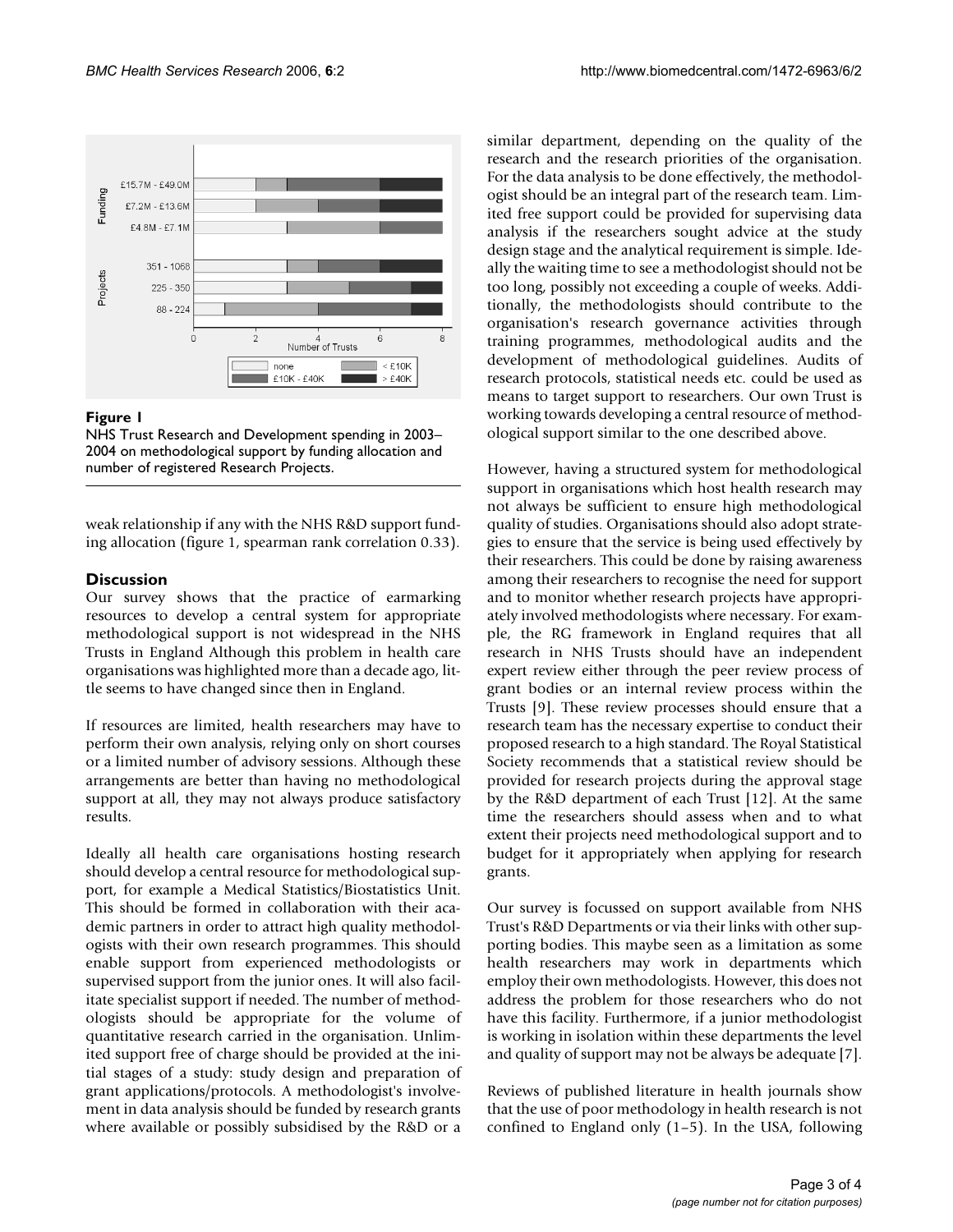

# Figure 1

NHS Trust Research and Development spending in 2003– 2004 on methodological support by funding allocation and number of registered Research Projects.

weak relationship if any with the NHS R&D support funding allocation (figure 1, spearman rank correlation 0.33).

# **Discussion**

Our survey shows that the practice of earmarking resources to develop a central system for appropriate methodological support is not widespread in the NHS Trusts in England Although this problem in health care organisations was highlighted more than a decade ago, little seems to have changed since then in England.

If resources are limited, health researchers may have to perform their own analysis, relying only on short courses or a limited number of advisory sessions. Although these arrangements are better than having no methodological support at all, they may not always produce satisfactory results.

Ideally all health care organisations hosting research should develop a central resource for methodological support, for example a Medical Statistics/Biostatistics Unit. This should be formed in collaboration with their academic partners in order to attract high quality methodologists with their own research programmes. This should enable support from experienced methodologists or supervised support from the junior ones. It will also facilitate specialist support if needed. The number of methodologists should be appropriate for the volume of quantitative research carried in the organisation. Unlimited support free of charge should be provided at the initial stages of a study: study design and preparation of grant applications/protocols. A methodologist's involvement in data analysis should be funded by research grants where available or possibly subsidised by the R&D or a

similar department, depending on the quality of the research and the research priorities of the organisation. For the data analysis to be done effectively, the methodologist should be an integral part of the research team. Limited free support could be provided for supervising data analysis if the researchers sought advice at the study design stage and the analytical requirement is simple. Ideally the waiting time to see a methodologist should not be too long, possibly not exceeding a couple of weeks. Additionally, the methodologists should contribute to the organisation's research governance activities through training programmes, methodological audits and the development of methodological guidelines. Audits of research protocols, statistical needs etc. could be used as means to target support to researchers. Our own Trust is working towards developing a central resource of methodological support similar to the one described above.

However, having a structured system for methodological support in organisations which host health research may not always be sufficient to ensure high methodological quality of studies. Organisations should also adopt strategies to ensure that the service is being used effectively by their researchers. This could be done by raising awareness among their researchers to recognise the need for support and to monitor whether research projects have appropriately involved methodologists where necessary. For example, the RG framework in England requires that all research in NHS Trusts should have an independent expert review either through the peer review process of grant bodies or an internal review process within the Trusts [9]. These review processes should ensure that a research team has the necessary expertise to conduct their proposed research to a high standard. The Royal Statistical Society recommends that a statistical review should be provided for research projects during the approval stage by the R&D department of each Trust [12]. At the same time the researchers should assess when and to what extent their projects need methodological support and to budget for it appropriately when applying for research grants.

Our survey is focussed on support available from NHS Trust's R&D Departments or via their links with other supporting bodies. This maybe seen as a limitation as some health researchers may work in departments which employ their own methodologists. However, this does not address the problem for those researchers who do not have this facility. Furthermore, if a junior methodologist is working in isolation within these departments the level and quality of support may not be always be adequate [7].

Reviews of published literature in health journals show that the use of poor methodology in health research is not confined to England only (1–5). In the USA, following